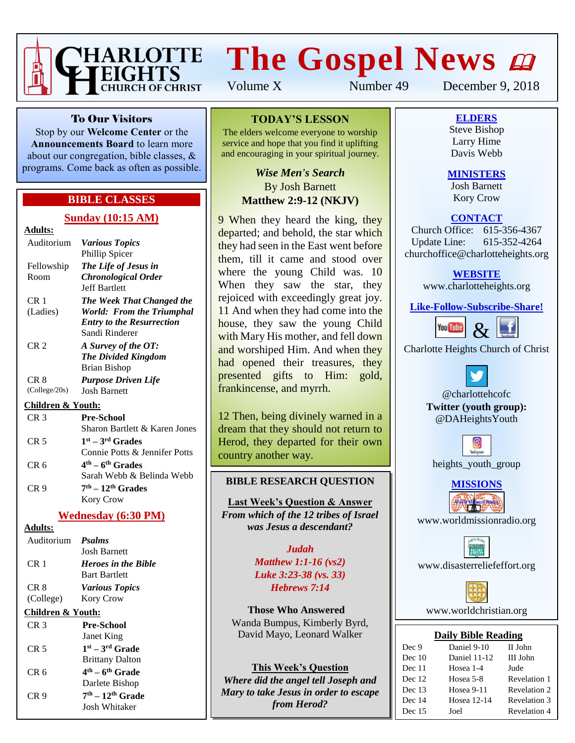

# **The Gospel News**

Volume X Number 49 December 9, 2018

To Our Visitors

Stop by our **Welcome Center** or the **Announcements Board** to learn more about our congregation, bible classes, & programs. Come back as often as possible.

### **BIBLE CLASSES**

#### **Sunday (10:15 AM)**

| \dults |  |
|--------|--|
|        |  |

| Auditorium                  | <b>Various Topics</b><br>Phillip Spicer                                                                             |
|-----------------------------|---------------------------------------------------------------------------------------------------------------------|
| Fellowship<br>Room          | The Life of Jesus in<br><b>Chronological Order</b><br><b>Jeff Bartlett</b>                                          |
| CR <sub>1</sub><br>(Ladies) | The Week That Changed the<br><b>World: From the Triumphal</b><br><b>Entry to the Resurrection</b><br>Sandi Rinderer |
| CR <sub>2</sub>             | A Survey of the OT:<br><b>The Divided Kingdom</b><br>Brian Bishop                                                   |
| CR 8<br>(College/20s)       | <b>Purpose Driven Life</b><br>Josh Barnett                                                                          |
| . .                         |                                                                                                                     |

#### **Children & Youth:**

| CR <sub>3</sub> | <b>Pre-School</b>             |
|-----------------|-------------------------------|
|                 | Sharon Bartlett & Karen Jones |
| CR <sub>5</sub> | $1st - 3rd$ Grades            |
|                 | Connie Potts & Jennifer Potts |
| CR <sub>6</sub> | $4th - 6th$ Grades            |
|                 | Sarah Webb & Belinda Webb     |
| CR <sub>9</sub> | $7th - 12th$ Grades           |
|                 | Kory Crow                     |

#### **Wednesday (6:30 PM)**

**Adults:**

| Auditorium <i>Psalms</i> |                            |
|--------------------------|----------------------------|
|                          | <b>Josh Barnett</b>        |
| CR 1                     | <b>Heroes in the Bible</b> |
|                          | <b>Bart Bartlett</b>       |
| CR 8                     | <b>Various Topics</b>      |
| (College)                | <b>Kory Crow</b>           |
|                          |                            |

#### **Children & Youth:**

| CR 3 | <b>Pre-School</b>                       |
|------|-----------------------------------------|
|      | Janet King                              |
| CR 5 | $1st - 3rd$ Grade                       |
|      | <b>Brittany Dalton</b>                  |
| CR 6 | 4 <sup>th</sup> – 6 <sup>th</sup> Grade |
|      | Darlete Bishop                          |
| CR 9 | $7th - 12th$ Grade                      |
|      | Josh Whitaker                           |

#### **TODAY'S LESSON**

The elders welcome everyone to worship service and hope that you find it uplifting and encouraging in your spiritual journey.

> *Wise Men's Search* By Josh Barnett **Matthew 2:9-12 (NKJV)**

9 When they heard the king, they departed; and behold, the star which they had seen in the East went before them, till it came and stood over where the young Child was. 10 When they saw the star, they rejoiced with exceedingly great joy. 11 And when they had come into the house, they saw the young Child with Mary His mother, and fell down and worshiped Him. And when they had opened their treasures, they presented gifts to Him: gold, frankincense, and myrrh.

12 Then, being divinely warned in a dream that they should not return to Herod, they departed for their own country another way.

#### **BIBLE RESEARCH QUESTION**

**Last Week's Question & Answer** *From which of the 12 tribes of Israel was Jesus a descendant?*

> *Judah Matthew 1:1-16 (vs2) Luke 3:23-38 (vs. 33) Hebrews 7:14*

**Those Who Answered** Wanda Bumpus, Kimberly Byrd, David Mayo, Leonard Walker

**This Week's Question** *Where did the angel tell Joseph and Mary to take Jesus in order to escape from Herod?*

**ELDERS** Steve Bishop Larry Hime

Davis Webb

**MINISTERS**

Josh Barnett Kory Crow

#### **CONTACT**

Church Office: 615-356-4367 Update Line: 615-352-4264 churchoffice@charlotteheights.org

#### **WEBSITE**

[www.charlotteheights.org](http://www.charlotteheights.org/)

**Like-Follow-Subscribe-Share!**



Charlotte Heights Church of Christ

@charlottehcofc **Twitter (youth group):** @DAHeightsYouth





www.worldmissionradio.org

[www.disasterreliefeffort.org](http://www.disasterreliefeffort.org/)



[www.worldchristian.org](http://www.worldchristian.org/)

#### **Daily Bible Reading**

| Dec 9    | Daniel 9-10  | II John      |
|----------|--------------|--------------|
| Dec $10$ | Daniel 11-12 | III John     |
| Dec 11   | Hosea 1-4    | Jude         |
| Dec 12   | Hosea 5-8    | Revelation 1 |
| Dec 13   | Hosea 9-11   | Revelation 2 |
| Dec 14   | Hosea 12-14  | Revelation 3 |
| Dec 15   | Joel         | Revelation 4 |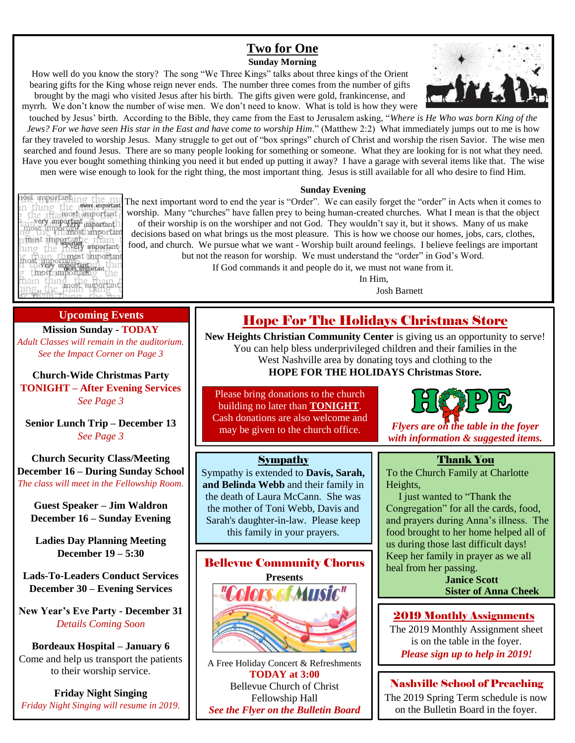#### **Two for One Sunday Morning**

How well do you know the story? The song "We Three Kings" talks about three kings of the Orient bearing gifts for the King whose reign never ends. The number three comes from the number of gifts brought by the magi who visited Jesus after his birth. The gifts given were gold, frankincense, and

myrrh. We don't know the number of wise men. We don't need to know. What is told is how they were touched by Jesus' birth. According to the Bible, they came from the East to Jerusalem asking, "*Where is He Who was born King of the Jews? For we have seen His star in the East and have come to worship Him.*" (Matthew 2:2) What immediately jumps out to me is how far they traveled to worship Jesus. Many struggle to get out of "box springs" church of Christ and worship the risen Savior. The wise men searched and found Jesus. There are so many people looking for something or someone. What they are looking for is not what they need. Have you ever bought something thinking you need it but ended up putting it away? I have a garage with several items like that. The wise men were wise enough to look for the right thing, the most important thing. Jesus is still available for all who desire to find Him.

#### **Sunday Evening**

The next important word to end the year is "Order". We can easily forget the "order" in Acts when it comes to worship. Many "churches" have fallen prey to being human-created churches. What I mean is that the object of their worship is on the worshiper and not God. They wouldn't say it, but it shows. Many of us make decisions based on what brings us the most pleasure. This is how we choose our homes, jobs, cars, clothes, food, and church. We pursue what we want - Worship built around feelings. I believe feelings are important but not the reason for worship. We must understand the "order" in God's Word.

If God commands it and people do it, we must not wane from it.

In Him,

Josh Barnett

### Hope For The Holidays Christmas Store

**New Heights Christian Community Center** is giving us an opportunity to serve! You can help bless underprivileged children and their families in the West Nashville area by donating toys and clothing to the **HOPE FOR THE HOLIDAYS Christmas Store.**

Please bring donations to the church building no later than **TONIGHT**. Cash donations are also welcome and

#### Sympathy

Sympathy is extended to **Davis, Sarah, and Belinda Webb** and their family in the death of Laura McCann. She was the mother of Toni Webb, Davis and Sarah's daughter-in-law. Please keep this family in your prayers.



A Free Holiday Concert & Refreshments **TODAY at 3:00** Bellevue Church of Christ Fellowship Hall *See the Flyer on the Bulletin Board*

may be given to the church office. **Flyers are on the table in the foyer** *with information & suggested items.*

#### Thank You

To the Church Family at Charlotte Heights,

I just wanted to "Thank the Congregation" for all the cards, food, and prayers during Anna's illness. The food brought to her home helped all of us during those last difficult days! Keep her family in prayer as we all heal from her passing.

> **Janice Scott Sister of Anna Cheek**

#### 2019 Monthly Assignments

The 2019 Monthly Assignment sheet is on the table in the foyer. *Please sign up to help in 2019!*

## Nashville School of Preaching

The 2019 Spring Term schedule is now on the Bulletin Board in the foyer.

nost importanting the ma<br>in thing the importanting<br>p the trainportanting the the rhamosh important<br>Annyery important important<br>Anost important important<br>Thost importante final in the pressy important hing the mostly important<br>the complete throughout the complete<br>the mostly important than<br>g thost important g the hing the main t

#### **Upcoming Events**

**Mission Sunday - TODAY** *Adult Classes will remain in the auditorium. See the Impact Corner on Page 3*

**Church-Wide Christmas Party TONIGHT – After Evening Services** *See Page 3*

**Senior Lunch Trip – December 13** *See Page 3*

**Church Security Class/Meeting December 16 – During Sunday School** *The class will meet in the Fellowship Room.*

**Guest Speaker – Jim Waldron December 16 – Sunday Evening**

**Ladies Day Planning Meeting December 19 – 5:30**

**Lads-To-Leaders Conduct Services December 30 – Evening Services**

**New Year's Eve Party - December 31** *Details Coming Soon*

**Bordeaux Hospital – January 6** Come and help us transport the patients to their worship service.

**Friday Night Singing** *Friday Night Singing will resume in 2019.*



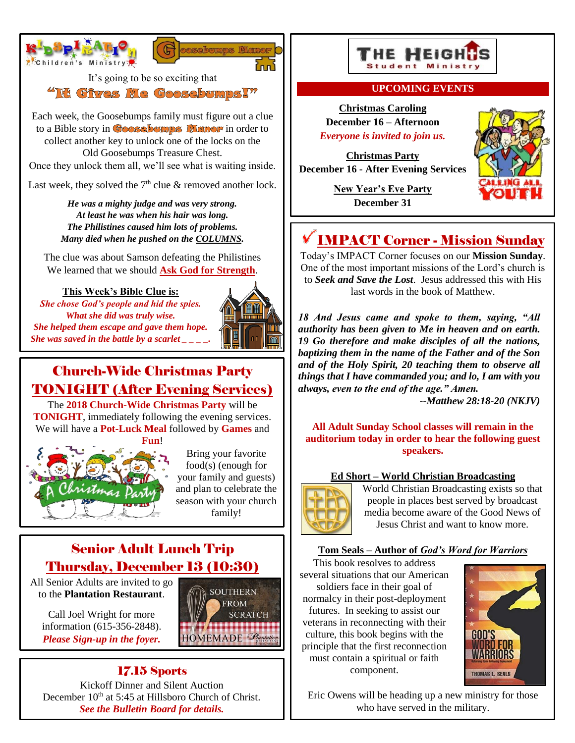



It's going to be so exciting that

"It Gives Me Goosebumps!"

Each week, the Goosebumps family must figure out a clue to a Bible story in **Goosebumps Memor** in order to collect another key to unlock one of the locks on the Old Goosebumps Treasure Chest.

Once they unlock them all, we'll see what is waiting inside.

Last week, they solved the  $7<sup>th</sup>$  clue & removed another lock.

*He was a mighty judge and was very strong. At least he was when his hair was long. The Philistines caused him lots of problems. Many died when he pushed on the COLUMNS.*

The clue was about Samson defeating the Philistines We learned that we should **Ask God for Strength**.

#### **This Week's Bible Clue is:**

*She chose God's people and hid the spies. What she did was truly wise. She helped them escape and gave them hope. She was saved in the battle by a scarlet*  $\frac{1}{1-z}$ .



# Church-Wide Christmas Party TONIGHT (After Evening Services)

The **2018 Church-Wide Christmas Party** will be **TONIGHT**, immediately following the evening services. We will have a **Pot-Luck Meal** followed by **Games** and



Bring your favorite food(s) (enough for your family and guests) and plan to celebrate the season with your church family!

> **SOUTHERN FROM SCRATCH**

HOMEMADE Plantation

# Senior Adult Lunch Trip Thursday, December 13 (10:30)

All Senior Adults are invited to go to the **Plantation Restaurant**.

Call Joel Wright for more information (615-356-2848). *Please Sign-up in the foyer.*





#### **UPCOMING EVENTS**

**Christmas Caroling December 16 – Afternoon** *Everyone is invited to join us.*

**Christmas Party December 16 - After Evening Services**

> **New Year's Eve Party December 31**



# IMPACT Corner - Mission Sunday

Today's IMPACT Corner focuses on our **Mission Sunday**. One of the most important missions of the Lord's church is to *Seek and Save the Lost*. Jesus addressed this with His last words in the book of Matthew.

*18 And Jesus came and spoke to them, saying, "All authority has been given to Me in heaven and on earth. 19 Go therefore and make disciples of all the nations, baptizing them in the name of the Father and of the Son and of the Holy Spirit, 20 teaching them to observe all things that I have commanded you; and lo, I am with you always, even to the end of the age." Amen.*

*--Matthew 28:18-20 (NKJV)*

**All Adult Sunday School classes will remain in the auditorium today in order to hear the following guest speakers.**

#### **Ed Short – World Christian Broadcasting**



World Christian Broadcasting exists so that people in places best served by broadcast media become aware of the Good News of Jesus Christ and want to know more.

#### **Tom Seals – Author of** *God's Word for Warriors*

This book resolves to address several situations that our American soldiers face in their goal of normalcy in their post-deployment futures. In seeking to assist our veterans in reconnecting with their culture, this book begins with the principle that the first reconnection must contain a spiritual or faith component.



Eric Owens will be heading up a new ministry for those who have served in the military.